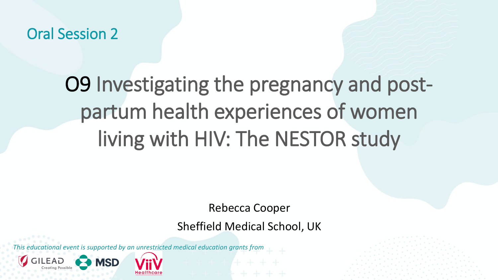Oral Session 2

## O9 Investigating the pregnancy and postpartum health experiences of women living with HIV: The NESTOR study

Rebecca Cooper

Sheffield Medical School, UK

*This educational event is supported by an unrestricted medical education grants from* 

**MSD**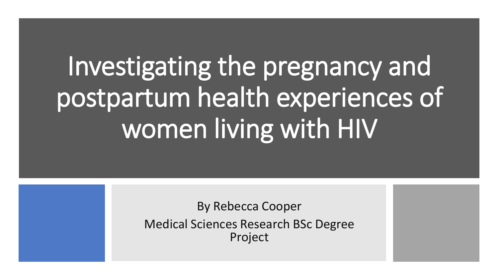# Investigating the pregnancy and postpartum health experiences of women living with HIV

By Rebecca Cooper Medical Sciences Research BSc Degree Project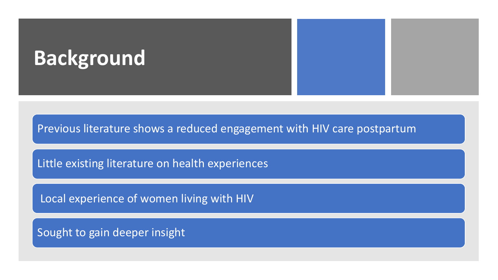### **Background**

Previous literature shows a reduced engagement with HIV care postpartum

Little existing literature on health experiences

Local experience of women living with HIV

Sought to gain deeper insight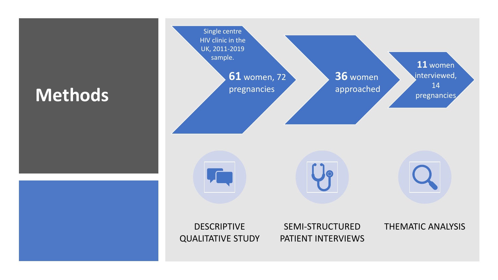### **Methods**

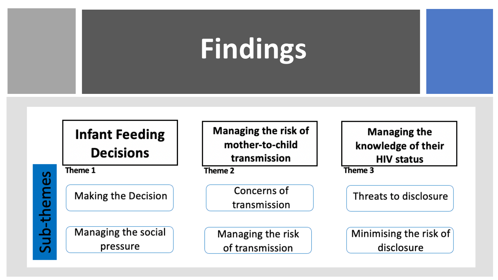# **Findings**

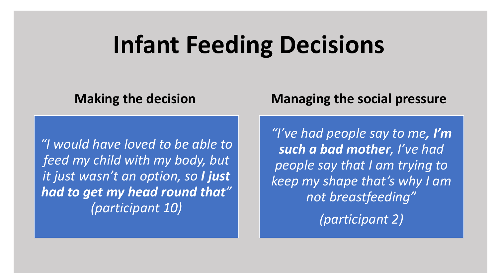### **Infant Feeding Decisions**

*"I would have loved to be able to feed my child with my body, but it just wasn't an option, so I just had to get my head round that" (participant 10)*

### **Making the decision Managing the social pressure**

*"I've had people say to me, I'm such a bad mother, I've had people say that I am trying to keep my shape that's why I am not breastfeeding"*

*(participant 2)*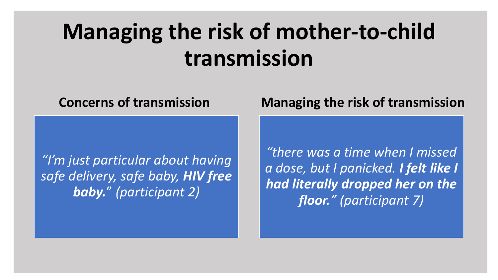### **Managing the risk of mother-to-child transmission**

*"I'm just particular about having safe delivery, safe baby, HIV free baby.*" *(participant 2)*

### **Concerns of transmission Managing the risk of transmission**

*"there was a time when I missed a dose, but I panicked. I felt like I had literally dropped her on the floor." (participant 7)*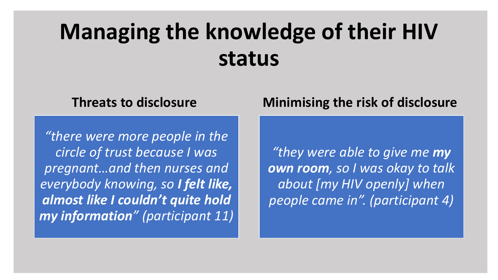### **Managing the knowledge of their HIV status**

*"there were more people in the circle of trust because I was pregnant…and then nurses and everybody knowing, so I felt like, almost like I couldn't quite hold my information" (participant 11)*

### **Threats to disclosure Minimising the risk of disclosure**

*"they were able to give me my own room, so I was okay to talk about [my HIV openly] when people came in". (participant 4)*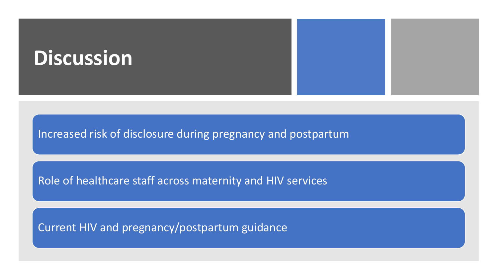### **Discussion**

Increased risk of disclosure during pregnancy and postpartum

Role of healthcare staff across maternity and HIV services

Current HIV and pregnancy/postpartum guidance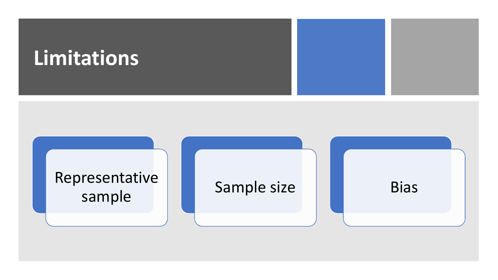

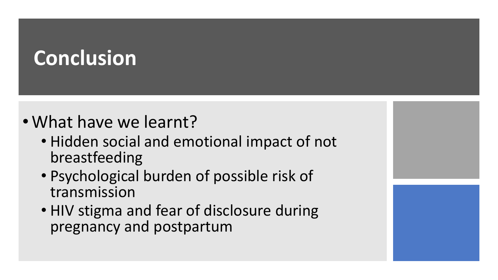### **Conclusion**

- What have we learnt?
	- Hidden social and emotional impact of not breastfeeding
	- Psychological burden of possible risk of transmission
	- HIV stigma and fear of disclosure during pregnancy and postpartum

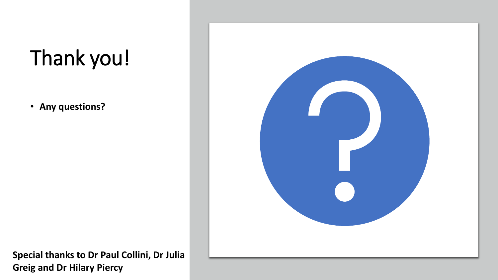## Thank you!

• **Any questions?**



**Special thanks to Dr Paul Collini, Dr Julia Greig and Dr Hilary Piercy**